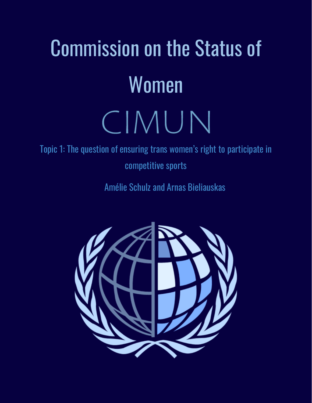# Commission on the Status of Women CIMUN

Topic 1: The question of ensuring trans women's right to participate in competitive sports

Amélie Schulz and Arnas Bieliauskas

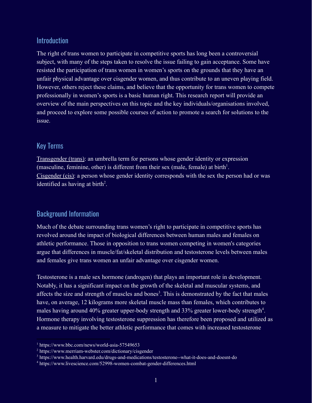#### Introduction

The right of trans women to participate in competitive sports has long been a controversial subject, with many of the steps taken to resolve the issue failing to gain acceptance. Some have resisted the participation of trans women in women's sports on the grounds that they have an unfair physical advantage over cisgender women, and thus contribute to an uneven playing field. However, others reject these claims, and believe that the opportunity for trans women to compete professionally in women's sports is a basic human right. This research report will provide an overview of the main perspectives on this topic and the key individuals/organisations involved, and proceed to explore some possible courses of action to promote a search for solutions to the issue.

#### Key Terms

Transgender (trans): an umbrella term for persons whose gender identity or expression (masculine, feminine, other) is different from their sex (male, female) at birth<sup>1</sup>. Cisgender (cis): a person whose [gender identity](https://www.merriam-webster.com/dictionary/gender%20identity) corresponds with the sex the person had or was identified as having at birth<sup>2</sup>.

# Background Information

Much of the debate surrounding trans women's right to participate in competitive sports has revolved around the impact of biological differences between human males and females on athletic performance. Those in opposition to trans women competing in women's categories argue that differences in muscle/fat/skeletal distribution and testosterone levels between males and females give trans women an unfair advantage over cisgender women.

Testosterone is a male sex hormone (androgen) that plays an important role in development. Notably, it has a significant impact on the growth of the skeletal and muscular systems, and affects the size and strength of muscles and bones<sup>3</sup>. This is demonstrated by the fact that males have, on average, 12 kilograms more skeletal muscle mass than females, which contributes to males having around 40% greater upper-body strength and 33% greater lower-body strength<sup>4</sup>. Hormone therapy involving testosterone suppression has therefore been proposed and utilized as a measure to mitigate the better athletic performance that comes with increased testosterone

<sup>1</sup> https://www.bbc.com/news/world-asia-57549653

<sup>2</sup> https://www.merriam-webster.com/dictionary/cisgender

<sup>3</sup> https://www.health.harvard.edu/drugs-and-medications/testosterone--what-it-does-and-doesnt-do

<sup>4</sup> https://www.livescience.com/52998-women-combat-gender-differences.html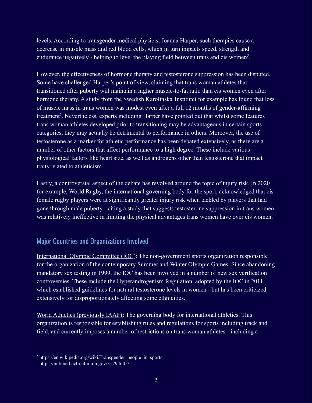levels. According to transgender medical physicist Joanna Harper, such therapies cause a decrease in muscle mass and red blood cells, which in turn impacts speed, strength and endurance negatively - helping to level the playing field between trans and cis women<sup>5</sup>.

However, the effectiveness of hormone therapy and testosterone suppression has been disputed. Some have challenged Harper's point of view, claiming that trans woman athletes that transitioned after puberty will maintain a higher muscle-to-fat ratio than cis women even after hormone therapy. A study from the Swedish Karolinska Institutet for example has found that loss of muscle mass in trans women was modest even after a full 12 months of gender-affirming treatment<sup>6</sup>. Nevertheless, experts including Harper have pointed out that whilst some features trans woman athletes developed prior to transitioning may be advantageous in certain sports categories, they may actually be detrimental to performance in others. Moreover, the use of testosterone as a marker for athletic performance has been debated extensively, as there are a number of other factors that affect performance to a high degree. These include various physiological factors like heart size, as well as androgens other than testosterone that impact traits related to athleticism.

Lastly, a controversial aspect of the debate has revolved around the topic of injury risk. In 2020 for example, World Rugby, the international governing body for the sport, acknowledged that cis female rugby players were at significantly greater injury risk when tackled by players that had gone through male puberty - citing a study that suggests testosterone suppression in trans women was relatively ineffective in limiting the physical advantages trans women have over cis women.

# Major Countries and Organizations Involved

International Olympic Committee (IOC): The non-government sports organization responsible for the organization of the contemporary Summer and Winter Olympic Games. Since abandoning mandatory sex testing in 1999, the IOC has been involved in a number of new sex verification controversies. These include the Hyperandrogenism Regulation, adopted by the IOC in 2011, which established guidelines for natural testosterone levels in women - but has been criticized extensively for disproportionately affecting some ethnicities.

World Athletics (previously IAAF): The governing body for international athletics. This organization is responsible for establishing rules and regulations for sports including track and field, and currently imposes a number of restrictions on trans woman athletes - including a

 $5$  https://en.wikipedia.org/wiki/Transgender people in sports

<sup>6</sup> https://pubmed.ncbi.nlm.nih.gov/31794605/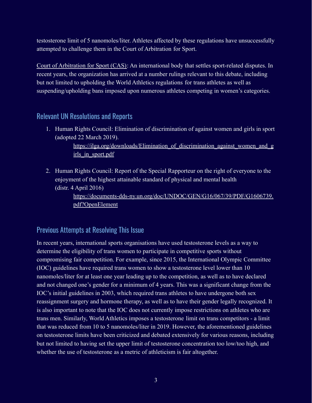testosterone limit of 5 nanomoles/liter. Athletes affected by these regulations have unsuccessfully attempted to challenge them in the Court of Arbitration for Sport.

Court of Arbitration for Sport (CAS): An international body that settles sport-related disputes. In recent years, the organization has arrived at a number rulings relevant to this debate, including but not limited to upholding the World Athletics regulations for trans athletes as well as suspending/upholding bans imposed upon numerous athletes competing in women's categories.

#### Relevant UN Resolutions and Reports

1. Human Rights Council: Elimination of discrimination of against women and girls in sport (adopted 22 March 2019).

> https://ilga.org/downloads/Elimination of discrimination against women and g [irls\\_in\\_sport.pdf](https://ilga.org/downloads/Elimination_of_discrimination_against_women_and_girls_in_sport.pdf)

2. Human Rights Council: Report of the Special Rapporteur on the right of everyone to the enjoyment of the highest attainable standard of physical and mental health (distr. 4 April 2016)

> [https://documents-dds-ny.un.org/doc/UNDOC/GEN/G16/067/39/PDF/G1606739.](https://documents-dds-ny.un.org/doc/UNDOC/GEN/G16/067/39/PDF/G1606739.pdf?OpenElement) [pdf?OpenElement](https://documents-dds-ny.un.org/doc/UNDOC/GEN/G16/067/39/PDF/G1606739.pdf?OpenElement)

#### Previous Attempts at Resolving This Issue

In recent years, international sports organisations have used testosterone levels as a way to determine the eligibility of trans women to participate in competitive sports without compromising fair competition. For example, since 2015, the International Olympic Committee (IOC) guidelines have required trans women to show a testosterone level lower than 10 nanomoles/liter for at least one year leading up to the competition, as well as to have declared and not changed one's gender for a minimum of 4 years. This was a significant change from the IOC's initial guidelines in 2003, which required trans athletes to have undergone both sex reassignment surgery and hormone therapy, as well as to have their gender legally recognized. It is also important to note that the IOC does not currently impose restrictions on athletes who are trans men. Similarly, World Athletics imposes a testosterone limit on trans competitors - a limit that was reduced from 10 to 5 nanomoles/liter in 2019. However, the aforementioned guidelines on testosterone limits have been criticized and debated extensively for various reasons, including but not limited to having set the upper limit of testosterone concentration too low/too high, and whether the use of testosterone as a metric of athleticism is fair altogether.